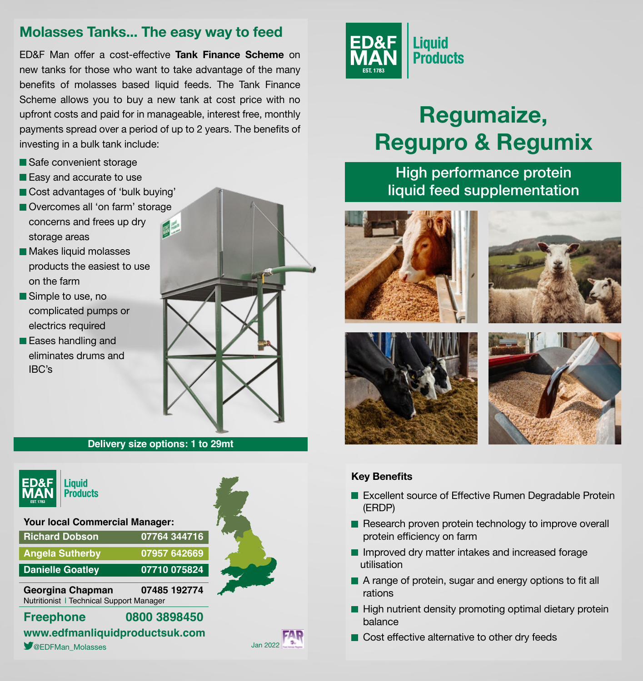### **Molasses Tanks... The easy way to feed**

ED&F Man offer a cost-effective **Tank Finance Scheme** on new tanks for those who want to take advantage of the many benefits of molasses based liquid feeds. The Tank Finance Scheme allows you to buy a new tank at cost price with no upfront costs and paid for in manageable, interest free, monthly payments spread over a period of up to 2 years. The benefits of investing in a bulk tank include:

- Safe convenient storage
- Easy and accurate to use
- Cost advantages of 'bulk buying'
- Overcomes all 'on farm' storage concerns and frees up dry storage areas
- **Makes liquid molasses** products the easiest to use on the farm
- Simple to use, no complicated pumps or electrics required
- **Eases handling and** eliminates drums and IBC's



#### **Delivery size options: 1 to 29mt**



Liauid **Products** 

#### **Your local Commercial Manager:**

| <b>Richard Dobson</b>   | 07764 344716 |
|-------------------------|--------------|
| <b>Angela Sutherby</b>  | 07957 642669 |
| <b>Danielle Goatley</b> | 07710 075824 |

**Georgina Chapman 07485 192774** Nutritionist | Technical Support Manager

**Freephone 0800 3898450 www.edfmanliquidproductsuk.com SEDFMan\_Molasses** Jan 2022



# **Regumaize, Regupro & Regumix**

## High performance protein liquid feed supplementation









#### **Key Benefits**

- Excellent source of Effective Rumen Degradable Protein (ERDP)
- Research proven protein technology to improve overall protein efficiency on farm
- Improved dry matter intakes and increased forage utilisation
- A range of protein, sugar and energy options to fit all rations
- $\blacksquare$  High nutrient density promoting optimal dietary protein balance
- Cost effective alternative to other dry feeds